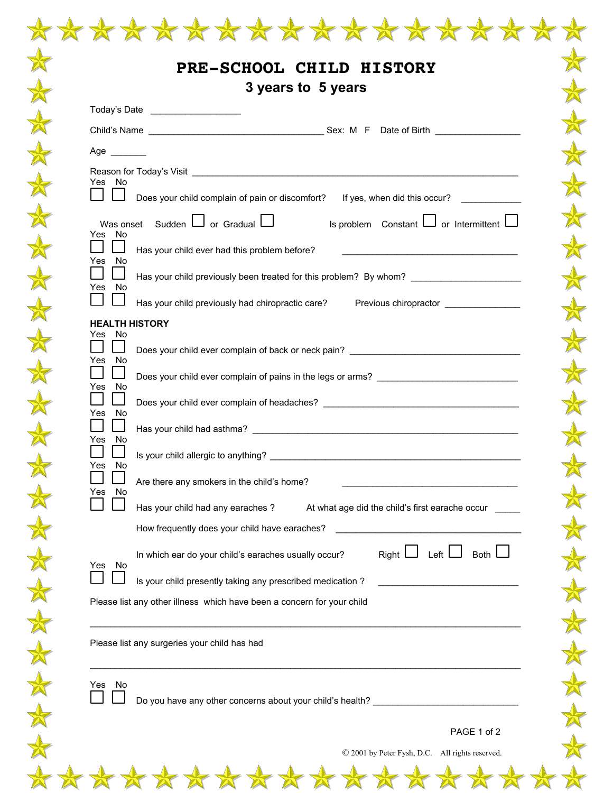|                                 | Today's Date ____________________                                                                                                                                    |
|---------------------------------|----------------------------------------------------------------------------------------------------------------------------------------------------------------------|
|                                 |                                                                                                                                                                      |
| Age $\qquad$                    |                                                                                                                                                                      |
| Yes No                          |                                                                                                                                                                      |
|                                 | Does your child complain of pain or discomfort?<br>If yes, when did this occur?                                                                                      |
| Yes No                          | Was onset Sudden $\Box$ or Gradual $\Box$<br>Is problem Constant $\Box$ or Intermittent $\Box$                                                                       |
| Yes No                          | Has your child ever had this problem before?<br><u> 1999 - Johann John Stein, markin fan it ferstjer fan it ferstjer fan it ferstjer fan it ferstjer fan it fers</u> |
| $\sim$<br>Yes No                | Has your child previously been treated for this problem? By whom? ______________                                                                                     |
|                                 | Has your child previously had chiropractic care? Previous chiropractor __________                                                                                    |
| <b>HEALTH HISTORY</b><br>Yes No |                                                                                                                                                                      |
| Yes No                          | Does your child ever complain of back or neck pain? ____________________________                                                                                     |
| Yes<br>No                       | Does your child ever complain of pains in the legs or arms? _____________________                                                                                    |
| Yes.<br>No                      |                                                                                                                                                                      |
| Yes No                          |                                                                                                                                                                      |
| No<br>Yes                       |                                                                                                                                                                      |
| - No<br>Yes                     | Are there any smokers in the child's home?                                                                                                                           |
|                                 | Has your child had any earaches?<br>At what age did the child's first earache occur                                                                                  |
|                                 | How frequently does your child have earaches?                                                                                                                        |
| No<br>Yes                       | Right $\Box$ Left $\Box$<br>Both I<br>In which ear do your child's earaches usually occur?                                                                           |
|                                 | Is your child presently taking any prescribed medication?                                                                                                            |
|                                 | Please list any other illness which have been a concern for your child                                                                                               |
|                                 | Please list any surgeries your child has had                                                                                                                         |
| Yes No                          |                                                                                                                                                                      |
|                                 | Do you have any other concerns about your child's health? ______________________                                                                                     |